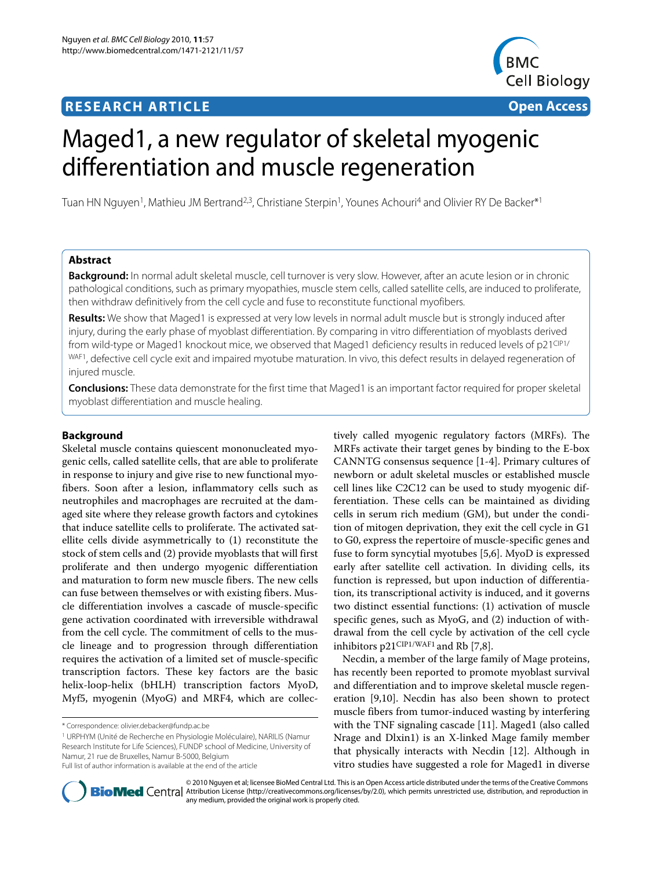## **RESEARCH ARTICLE Open Access**



# Maged1, a new regulator of skeletal myogenic differentiation and muscle regeneration

Tuan HN Nguyen<sup>1</sup>, Mathieu JM Bertrand<sup>2,3</sup>, Christiane Sterpin<sup>1</sup>, Younes Achouri<sup>4</sup> and Olivier RY De Backer<sup>\*1</sup>

## **Abstract**

**Background:** In normal adult skeletal muscle, cell turnover is very slow. However, after an acute lesion or in chronic pathological conditions, such as primary myopathies, muscle stem cells, called satellite cells, are induced to proliferate, then withdraw definitively from the cell cycle and fuse to reconstitute functional myofibers.

**Results:** We show that Maged1 is expressed at very low levels in normal adult muscle but is strongly induced after injury, during the early phase of myoblast differentiation. By comparing in vitro differentiation of myoblasts derived from wild-type or Maged1 knockout mice, we observed that Maged1 deficiency results in reduced levels of p21CIP1/ WAF1, defective cell cycle exit and impaired myotube maturation. In vivo, this defect results in delayed regeneration of injured muscle.

**Conclusions:** These data demonstrate for the first time that Maged1 is an important factor required for proper skeletal myoblast differentiation and muscle healing.

## **Background**

Skeletal muscle contains quiescent mononucleated myogenic cells, called satellite cells, that are able to proliferate in response to injury and give rise to new functional myofibers. Soon after a lesion, inflammatory cells such as neutrophiles and macrophages are recruited at the damaged site where they release growth factors and cytokines that induce satellite cells to proliferate. The activated satellite cells divide asymmetrically to (1) reconstitute the stock of stem cells and (2) provide myoblasts that will first proliferate and then undergo myogenic differentiation and maturation to form new muscle fibers. The new cells can fuse between themselves or with existing fibers. Muscle differentiation involves a cascade of muscle-specific gene activation coordinated with irreversible withdrawal from the cell cycle. The commitment of cells to the muscle lineage and to progression through differentiation requires the activation of a limited set of muscle-specific transcription factors. These key factors are the basic helix-loop-helix (bHLH) transcription factors MyoD, Myf5, myogenin (MyoG) and MRF4, which are collec-

1 URPHYM (Unité de Recherche en Physiologie Moléculaire), NARILIS (Namur Research Institute for Life Sciences), FUNDP school of Medicine, University of Namur, 21 rue de Bruxelles, Namur B-5000, Belgium Full list of author information is available at the end of the article

tively called myogenic regulatory factors (MRFs). The MRFs activate their target genes by binding to the E-box CANNTG consensus sequence [[1](#page-7-0)[-4](#page-7-1)]. Primary cultures of newborn or adult skeletal muscles or established muscle cell lines like C2C12 can be used to study myogenic differentiation. These cells can be maintained as dividing cells in serum rich medium (GM), but under the condition of mitogen deprivation, they exit the cell cycle in G1 to G0, express the repertoire of muscle-specific genes and fuse to form syncytial myotubes [\[5](#page-7-2)[,6](#page-7-3)]. MyoD is expressed early after satellite cell activation. In dividing cells, its function is repressed, but upon induction of differentiation, its transcriptional activity is induced, and it governs two distinct essential functions: (1) activation of muscle specific genes, such as MyoG, and (2) induction of withdrawal from the cell cycle by activation of the cell cycle inhibitors p21CIP1/WAF1 and Rb [\[7](#page-7-4)[,8](#page-7-5)].

Necdin, a member of the large family of Mage proteins, has recently been reported to promote myoblast survival and differentiation and to improve skeletal muscle regeneration [\[9](#page-7-6)[,10](#page-7-7)]. Necdin has also been shown to protect muscle fibers from tumor-induced wasting by interfering with the TNF signaling cascade [\[11](#page-7-8)]. Maged1 (also called Nrage and Dlxin1) is an X-linked Mage family member that physically interacts with Necdin [\[12](#page-7-9)]. Although in vitro studies have suggested a role for Maged1 in diverse



© 2010 Nguyen et al; licensee BioMed Central Ltd. This is an Open Access article distributed under the terms of the Creative Commons **Bio Med** Central Attribution License (http://creativecommons.org/licenses/by/2.0), which permits unrestricted use, distribution, and reproduction in any medium, provided the original work is properly cited.

<sup>\*</sup> Correspondence: olivier.debacker@fundp.ac.be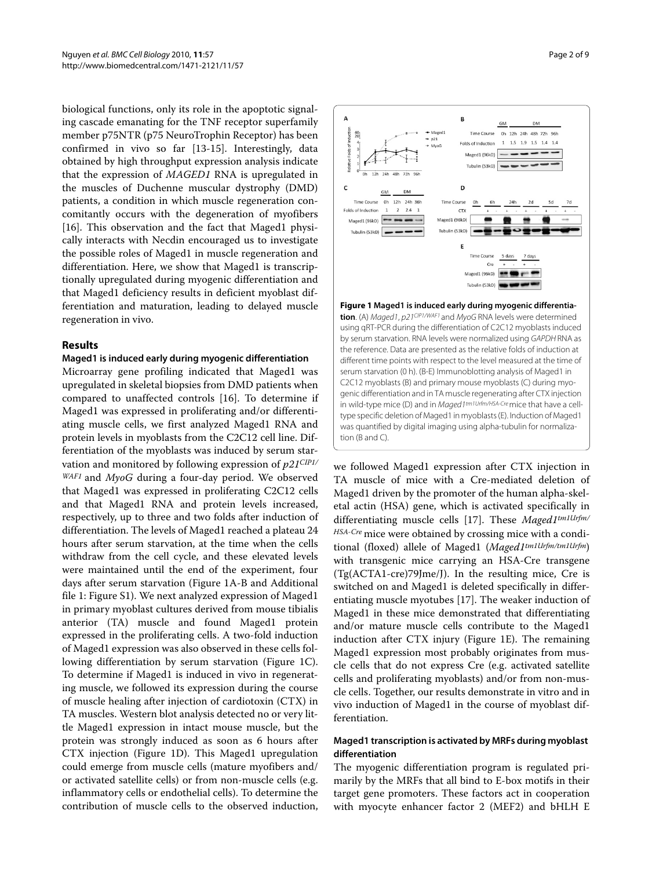biological functions, only its role in the apoptotic signaling cascade emanating for the TNF receptor superfamily member p75NTR (p75 NeuroTrophin Receptor) has been confirmed in vivo so far [[13-](#page-7-10)[15\]](#page-7-11). Interestingly, data obtained by high throughput expression analysis indicate that the expression of *MAGED1* RNA is upregulated in the muscles of Duchenne muscular dystrophy (DMD) patients, a condition in which muscle regeneration concomitantly occurs with the degeneration of myofibers [[16\]](#page-7-12). This observation and the fact that Maged1 physically interacts with Necdin encouraged us to investigate the possible roles of Maged1 in muscle regeneration and differentiation. Here, we show that Maged1 is transcriptionally upregulated during myogenic differentiation and that Maged1 deficiency results in deficient myoblast differentiation and maturation, leading to delayed muscle regeneration in vivo.

## **Results**

#### **Maged1 is induced early during myogenic differentiation**

Microarray gene profiling indicated that Maged1 was upregulated in skeletal biopsies from DMD patients when compared to unaffected controls [[16](#page-7-12)]. To determine if Maged1 was expressed in proliferating and/or differentiating muscle cells, we first analyzed Maged1 RNA and protein levels in myoblasts from the C2C12 cell line. Differentiation of the myoblasts was induced by serum starvation and monitored by following expression of *p21CIP1/ WAF1* and *MyoG* during a four-day period. We observed that Maged1 was expressed in proliferating C2C12 cells and that Maged1 RNA and protein levels increased, respectively, up to three and two folds after induction of differentiation. The levels of Maged1 reached a plateau 24 hours after serum starvation, at the time when the cells withdraw from the cell cycle, and these elevated levels were maintained until the end of the experiment, four days after serum starvation (Figure [1](#page-1-0)A-B and Additional file [1:](#page-7-13) Figure S1). We next analyzed expression of Maged1 in primary myoblast cultures derived from mouse tibialis anterior (TA) muscle and found Maged1 protein expressed in the proliferating cells. A two-fold induction of Maged1 expression was also observed in these cells following differentiation by serum starvation (Figure [1](#page-1-0)C). To determine if Maged1 is induced in vivo in regenerating muscle, we followed its expression during the course of muscle healing after injection of cardiotoxin (CTX) in TA muscles. Western blot analysis detected no or very little Maged1 expression in intact mouse muscle, but the protein was strongly induced as soon as 6 hours after CTX injection (Figure [1D](#page-1-0)). This Maged1 upregulation could emerge from muscle cells (mature myofibers and/ or activated satellite cells) or from non-muscle cells (e.g. inflammatory cells or endothelial cells). To determine the contribution of muscle cells to the observed induction,

<span id="page-1-0"></span>

#### **Figure 1 Maged1 is induced early during myogenic differentia**tion. (A) Maged1, p21<sup>CIP1/WAF1</sup> and MyoG RNA levels were determined using qRT-PCR during the differentiation of C2C12 myoblasts induced by serum starvation. RNA levels were normalized using GAPDH RNA as the reference. Data are presented as the relative folds of induction at different time points with respect to the level measured at the time of serum starvation (0 h). (B-E) Immunoblotting analysis of Maged1 in C2C12 myoblasts (B) and primary mouse myoblasts (C) during myogenic differentiation and in TA muscle regenerating after CTX injection in wild-type mice (D) and in Maged1tm1Urfm/HSA-Cre mice that have a celltype specific deletion of Maged1 in myoblasts (E). Induction of Maged1 was quantified by digital imaging using alpha-tubulin for normalization (B and C).

we followed Maged1 expression after CTX injection in TA muscle of mice with a Cre-mediated deletion of Maged1 driven by the promoter of the human alpha-skeletal actin (HSA) gene, which is activated specifically in differentiating muscle cells [\[17\]](#page-7-14). These *Maged1tm1Urfm/ HSA-Cre* mice were obtained by crossing mice with a conditional (floxed) allele of Maged1 (*Maged1tm1Urfm/tm1Urfm*) with transgenic mice carrying an HSA-Cre transgene (Tg(ACTA1-cre)79Jme/J). In the resulting mice, Cre is switched on and Maged1 is deleted specifically in differentiating muscle myotubes [\[17](#page-7-14)]. The weaker induction of Maged1 in these mice demonstrated that differentiating and/or mature muscle cells contribute to the Maged1 induction after CTX injury (Figure [1E](#page-1-0)). The remaining Maged1 expression most probably originates from muscle cells that do not express Cre (e.g. activated satellite cells and proliferating myoblasts) and/or from non-muscle cells. Together, our results demonstrate in vitro and in vivo induction of Maged1 in the course of myoblast differentiation.

## **Maged1 transcription is activated by MRFs during myoblast differentiation**

The myogenic differentiation program is regulated primarily by the MRFs that all bind to E-box motifs in their target gene promoters. These factors act in cooperation with myocyte enhancer factor 2 (MEF2) and bHLH E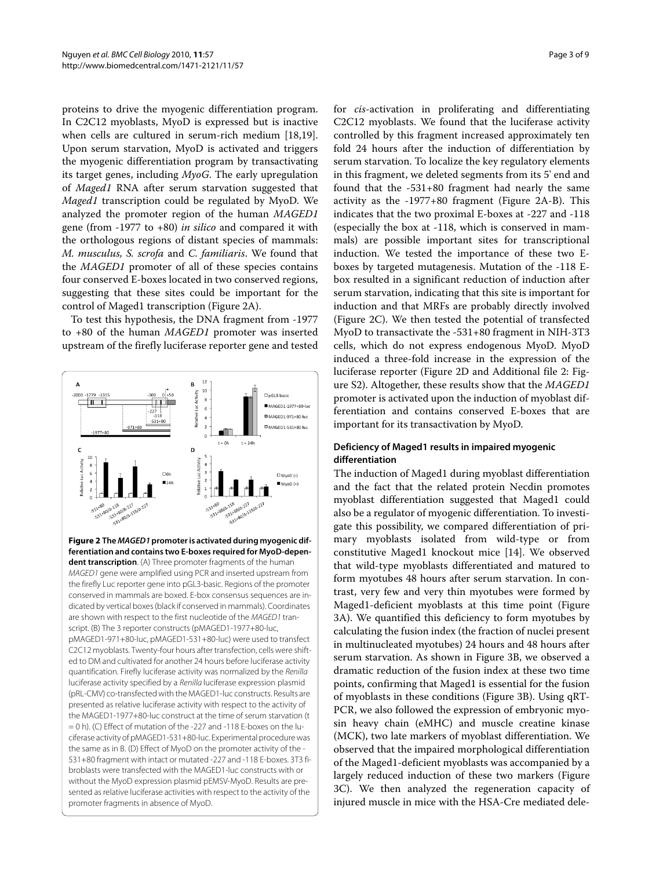proteins to drive the myogenic differentiation program. In C2C12 myoblasts, MyoD is expressed but is inactive when cells are cultured in serum-rich medium [\[18](#page-7-15)[,19](#page-7-16)]. Upon serum starvation, MyoD is activated and triggers the myogenic differentiation program by transactivating its target genes, including *MyoG*. The early upregulation of *Maged1* RNA after serum starvation suggested that *Maged1* transcription could be regulated by MyoD. We analyzed the promoter region of the human *MAGED1* gene (from -1977 to +80) *in silico* and compared it with the orthologous regions of distant species of mammals: *M. musculus, S. scrofa* and *C. familiaris*. We found that the *MAGED1* promoter of all of these species contains four conserved E-boxes located in two conserved regions, suggesting that these sites could be important for the control of Maged1 transcription (Figure [2](#page-2-0)A).

To test this hypothesis, the DNA fragment from -1977 to +80 of the human *MAGED1* promoter was inserted upstream of the firefly luciferase reporter gene and tested

<span id="page-2-0"></span>

**Figure 2 The MAGED1 promoter is activated during myogenic differentiation and contains two E-boxes required for MyoD-dependent transcription**. (A) Three promoter fragments of the human MAGED1 gene were amplified using PCR and inserted upstream from the firefly Luc reporter gene into pGL3-basic. Regions of the promoter conserved in mammals are boxed. E-box consensus sequences are indicated by vertical boxes (black if conserved in mammals). Coordinates are shown with respect to the first nucleotide of the MAGED1 transcript. (B) The 3 reporter constructs (pMAGED1-1977+80-luc, pMAGED1-971+80-luc, pMAGED1-531+80-luc) were used to transfect C2C12 myoblasts. Twenty-four hours after transfection, cells were shifted to DM and cultivated for another 24 hours before luciferase activity quantification. Firefly luciferase activity was normalized by the Renilla luciferase activity specified by a Renilla luciferase expression plasmid (pRL-CMV) co-transfected with the MAGED1-luc constructs. Results are presented as relative luciferase activity with respect to the activity of the MAGED1-1977+80-luc construct at the time of serum starvation (t = 0 h). (C) Effect of mutation of the -227 and -118 E-boxes on the luciferase activity of pMAGED1-531+80-luc. Experimental procedure was the same as in B. (D) Effect of MyoD on the promoter activity of the - 531+80 fragment with intact or mutated -227 and -118 E-boxes. 3T3 fibroblasts were transfected with the MAGED1-luc constructs with or without the MyoD expression plasmid pEMSV-MyoD. Results are presented as relative luciferase activities with respect to the activity of the promoter fragments in absence of MyoD.

for *cis*-activation in proliferating and differentiating C2C12 myoblasts. We found that the luciferase activity controlled by this fragment increased approximately ten fold 24 hours after the induction of differentiation by serum starvation. To localize the key regulatory elements in this fragment, we deleted segments from its 5' end and found that the -531+80 fragment had nearly the same activity as the -1977+80 fragment (Figure [2A](#page-2-0)-B). This indicates that the two proximal E-boxes at -227 and -118 (especially the box at -118, which is conserved in mammals) are possible important sites for transcriptional induction. We tested the importance of these two Eboxes by targeted mutagenesis. Mutation of the -118 Ebox resulted in a significant reduction of induction after serum starvation, indicating that this site is important for induction and that MRFs are probably directly involved (Figure [2](#page-2-0)C). We then tested the potential of transfected MyoD to transactivate the -531+80 fragment in NIH-3T3 cells, which do not express endogenous MyoD. MyoD induced a three-fold increase in the expression of the luciferase reporter (Figure [2](#page-2-0)D and Additional file [2](#page-7-17): Figure S2). Altogether, these results show that the *MAGED1* promoter is activated upon the induction of myoblast differentiation and contains conserved E-boxes that are important for its transactivation by MyoD.

## **Deficiency of Maged1 results in impaired myogenic differentiation**

The induction of Maged1 during myoblast differentiation and the fact that the related protein Necdin promotes myoblast differentiation suggested that Maged1 could also be a regulator of myogenic differentiation. To investigate this possibility, we compared differentiation of primary myoblasts isolated from wild-type or from constitutive Maged1 knockout mice [\[14\]](#page-7-18). We observed that wild-type myoblasts differentiated and matured to form myotubes 48 hours after serum starvation. In contrast, very few and very thin myotubes were formed by Maged1-deficient myoblasts at this time point (Figure [3A](#page-3-0)). We quantified this deficiency to form myotubes by calculating the fusion index (the fraction of nuclei present in multinucleated myotubes) 24 hours and 48 hours after serum starvation. As shown in Figure [3](#page-3-0)B, we observed a dramatic reduction of the fusion index at these two time points, confirming that Maged1 is essential for the fusion of myoblasts in these conditions (Figure [3](#page-3-0)B). Using qRT-PCR, we also followed the expression of embryonic myosin heavy chain (eMHC) and muscle creatine kinase (MCK), two late markers of myoblast differentiation. We observed that the impaired morphological differentiation of the Maged1-deficient myoblasts was accompanied by a largely reduced induction of these two markers (Figure [3C](#page-3-0)). We then analyzed the regeneration capacity of injured muscle in mice with the HSA-Cre mediated dele-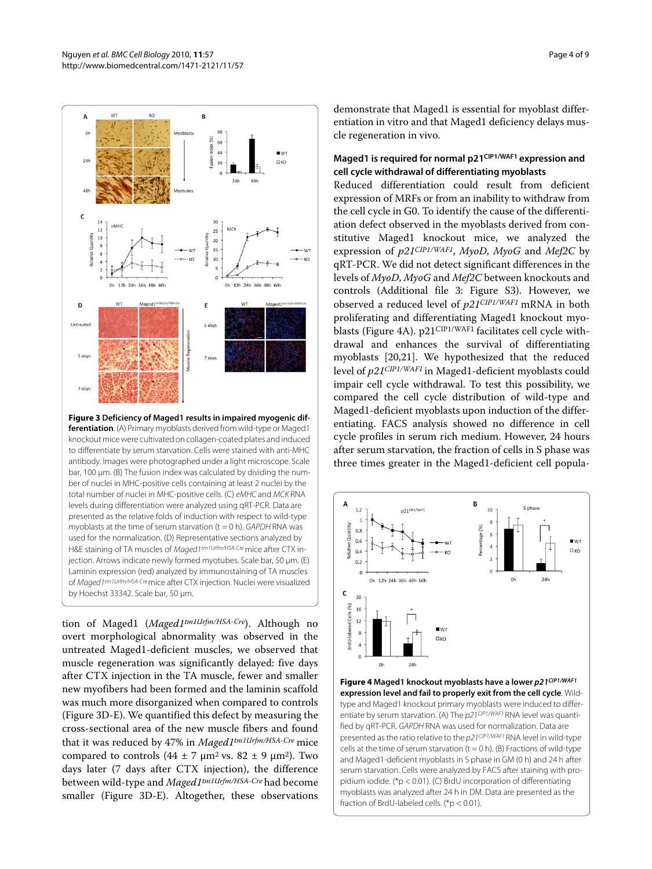<span id="page-3-0"></span>

**Figure 3 Deficiency of Maged1 results in impaired myogenic differentiation**. (A) Primary myoblasts derived from wild-type or Maged1 knockout mice were cultivated on collagen-coated plates and induced to differentiate by serum starvation. Cells were stained with anti-MHC antibody. Images were photographed under a light microscope. Scale bar, 100 μm. (B) The fusion index was calculated by dividing the number of nuclei in MHC-positive cells containing at least 2 nuclei by the total number of nuclei in MHC-positive cells. (C) eMHC and MCK RNA levels during differentiation were analyzed using qRT-PCR. Data are presented as the relative folds of induction with respect to wild-type myoblasts at the time of serum starvation ( $t = 0$  h). GAPDH RNA was used for the normalization. (D) Representative sections analyzed by H&E staining of TA muscles of Maged1tm1Urfm/HSA-Cre mice after CTX injection. Arrows indicate newly formed myotubes. Scale bar, 50 μm. (E) Laminin expression (red) analyzed by immunostaining of TA muscles of Maged1tm1Urfm/HSA-Cre mice after CTX injection. Nuclei were visualized by Hoechst 33342. Scale bar, 50 μm.

tion of Maged1 (*Maged1tm1Urfm/HSA-Cre*). Although no overt morphological abnormality was observed in the untreated Maged1-deficient muscles, we observed that muscle regeneration was significantly delayed: five days after CTX injection in the TA muscle, fewer and smaller new myofibers had been formed and the laminin scaffold was much more disorganized when compared to controls (Figure [3D](#page-3-0)-E). We quantified this defect by measuring the cross-sectional area of the new muscle fibers and found that it was reduced by 47% in *Maged1tm1Urfm/HSA-Cre* mice compared to controls  $(44 \pm 7 \text{ nm}^2 \text{ vs. } 82 \pm 9 \text{ nm}^2)$ . Two days later (7 days after CTX injection), the difference between wild-type and *Maged1tm1Urfm/HSA-Cre* had become smaller (Figure [3](#page-3-0)D-E). Altogether, these observations

demonstrate that Maged1 is essential for myoblast differentiation in vitro and that Maged1 deficiency delays muscle regeneration in vivo.

## **Maged1 is required for normal p21CIP1/WAF1 expression and cell cycle withdrawal of differentiating myoblasts**

Reduced differentiation could result from deficient expression of MRFs or from an inability to withdraw from the cell cycle in G0. To identify the cause of the differentiation defect observed in the myoblasts derived from constitutive Maged1 knockout mice, we analyzed the expression of *p21CIP1/WAF1*, *MyoD*, *MyoG* and *Mef2C* by qRT-PCR. We did not detect significant differences in the levels of *MyoD*, *MyoG* and *Mef2C* between knockouts and controls (Additional file [3:](#page-7-19) Figure S3). However, we observed a reduced level of *p21CIP1/WAF1* mRNA in both proliferating and differentiating Maged1 knockout myo-blasts (Figure [4A](#page-3-1)). p21<sup>CIP1/WAF1</sup> facilitates cell cycle withdrawal and enhances the survival of differentiating myoblasts [\[20](#page-7-20)[,21](#page-7-21)]. We hypothesized that the reduced level of *p21CIP1/WAF1* in Maged1-deficient myoblasts could impair cell cycle withdrawal. To test this possibility, we compared the cell cycle distribution of wild-type and Maged1-deficient myoblasts upon induction of the differentiating. FACS analysis showed no difference in cell cycle profiles in serum rich medium. However, 24 hours after serum starvation, the fraction of cells in S phase was three times greater in the Maged1-deficient cell popula-

<span id="page-3-1"></span>

**Figure 4 Maged1 knockout myoblasts have a lower p21CIP1/WAF1 expression level and fail to properly exit from the cell cycle**. Wildtype and Maged1 knockout primary myoblasts were induced to differentiate by serum starvation. (A) The  $p21$ <sup>CIP1/WAF1</sup> RNA level was quantified by qRT-PCR. GAPDH RNA was used for normalization. Data are presented as the ratio relative to the p21CIP1/WAF1 RNA level in wild-type cells at the time of serum starvation  $(t = 0 h)$ . (B) Fractions of wild-type and Maged1-deficient myoblasts in S phase in GM (0 h) and 24 h after serum starvation. Cells were analyzed by FACS after staining with propidium iodide. (\*p < 0.01). (C) BrdU incorporation of differentiating myoblasts was analyzed after 24 h in DM. Data are presented as the fraction of BrdU-labeled cells. (\*p < 0.01).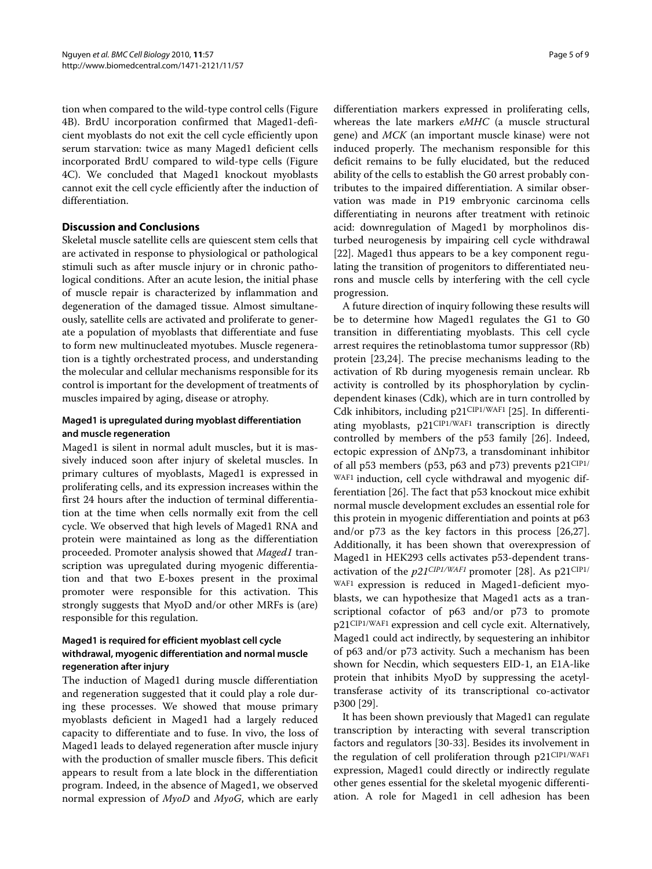tion when compared to the wild-type control cells (Figure [4B](#page-3-1)). BrdU incorporation confirmed that Maged1-deficient myoblasts do not exit the cell cycle efficiently upon serum starvation: twice as many Maged1 deficient cells incorporated BrdU compared to wild-type cells (Figure [4C](#page-3-1)). We concluded that Maged1 knockout myoblasts cannot exit the cell cycle efficiently after the induction of differentiation.

## **Discussion and Conclusions**

Skeletal muscle satellite cells are quiescent stem cells that are activated in response to physiological or pathological stimuli such as after muscle injury or in chronic pathological conditions. After an acute lesion, the initial phase of muscle repair is characterized by inflammation and degeneration of the damaged tissue. Almost simultaneously, satellite cells are activated and proliferate to generate a population of myoblasts that differentiate and fuse to form new multinucleated myotubes. Muscle regeneration is a tightly orchestrated process, and understanding the molecular and cellular mechanisms responsible for its control is important for the development of treatments of muscles impaired by aging, disease or atrophy.

## **Maged1 is upregulated during myoblast differentiation and muscle regeneration**

Maged1 is silent in normal adult muscles, but it is massively induced soon after injury of skeletal muscles. In primary cultures of myoblasts, Maged1 is expressed in proliferating cells, and its expression increases within the first 24 hours after the induction of terminal differentiation at the time when cells normally exit from the cell cycle. We observed that high levels of Maged1 RNA and protein were maintained as long as the differentiation proceeded. Promoter analysis showed that *Maged1* transcription was upregulated during myogenic differentiation and that two E-boxes present in the proximal promoter were responsible for this activation. This strongly suggests that MyoD and/or other MRFs is (are) responsible for this regulation.

## **Maged1 is required for efficient myoblast cell cycle withdrawal, myogenic differentiation and normal muscle regeneration after injury**

The induction of Maged1 during muscle differentiation and regeneration suggested that it could play a role during these processes. We showed that mouse primary myoblasts deficient in Maged1 had a largely reduced capacity to differentiate and to fuse. In vivo, the loss of Maged1 leads to delayed regeneration after muscle injury with the production of smaller muscle fibers. This deficit appears to result from a late block in the differentiation program. Indeed, in the absence of Maged1, we observed normal expression of *MyoD* and *MyoG*, which are early

differentiation markers expressed in proliferating cells, whereas the late markers *eMHC* (a muscle structural gene) and *MCK* (an important muscle kinase) were not induced properly. The mechanism responsible for this deficit remains to be fully elucidated, but the reduced ability of the cells to establish the G0 arrest probably contributes to the impaired differentiation. A similar observation was made in P19 embryonic carcinoma cells differentiating in neurons after treatment with retinoic acid: downregulation of Maged1 by morpholinos disturbed neurogenesis by impairing cell cycle withdrawal [[22\]](#page-7-22). Maged1 thus appears to be a key component regulating the transition of progenitors to differentiated neurons and muscle cells by interfering with the cell cycle progression.

A future direction of inquiry following these results will be to determine how Maged1 regulates the G1 to G0 transition in differentiating myoblasts. This cell cycle arrest requires the retinoblastoma tumor suppressor (Rb) protein [\[23](#page-7-23),[24](#page-7-24)]. The precise mechanisms leading to the activation of Rb during myogenesis remain unclear. Rb activity is controlled by its phosphorylation by cyclindependent kinases (Cdk), which are in turn controlled by Cdk inhibitors, including p21CIP1/WAF1 [\[25](#page-7-25)]. In differentiating myoblasts, p21CIP1/WAF1 transcription is directly controlled by members of the p53 family [\[26](#page-7-26)]. Indeed, ectopic expression of ΔNp73, a transdominant inhibitor of all p53 members (p53, p63 and p73) prevents  $p21^{\text{CIP1}}/$ WAF1 induction, cell cycle withdrawal and myogenic differentiation [[26\]](#page-7-26). The fact that p53 knockout mice exhibit normal muscle development excludes an essential role for this protein in myogenic differentiation and points at p63 and/or p73 as the key factors in this process [\[26](#page-7-26)[,27](#page-7-27)]. Additionally, it has been shown that overexpression of Maged1 in HEK293 cells activates p53-dependent transactivation of the *p21CIP1/WAF1* promoter [[28\]](#page-8-0). As p21CIP1/ WAF1 expression is reduced in Maged1-deficient myoblasts, we can hypothesize that Maged1 acts as a transcriptional cofactor of p63 and/or p73 to promote p21CIP1/WAF1 expression and cell cycle exit. Alternatively, Maged1 could act indirectly, by sequestering an inhibitor of p63 and/or p73 activity. Such a mechanism has been shown for Necdin, which sequesters EID-1, an E1A-like protein that inhibits MyoD by suppressing the acetyltransferase activity of its transcriptional co-activator p300 [\[29](#page-8-1)].

It has been shown previously that Maged1 can regulate transcription by interacting with several transcription factors and regulators [\[30](#page-8-2)-[33](#page-8-3)]. Besides its involvement in the regulation of cell proliferation through p21CIP1/WAF1 expression, Maged1 could directly or indirectly regulate other genes essential for the skeletal myogenic differentiation. A role for Maged1 in cell adhesion has been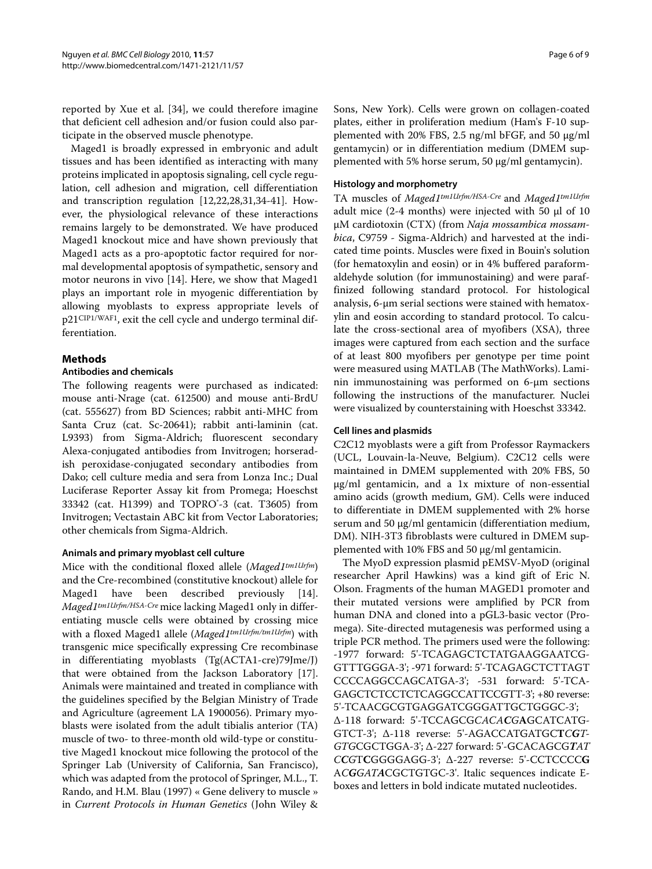reported by Xue et al. [[34\]](#page-8-4), we could therefore imagine that deficient cell adhesion and/or fusion could also participate in the observed muscle phenotype.

Maged1 is broadly expressed in embryonic and adult tissues and has been identified as interacting with many proteins implicated in apoptosis signaling, cell cycle regulation, cell adhesion and migration, cell differentiation and transcription regulation [\[12](#page-7-9)[,22](#page-7-22)[,28](#page-8-0),[31](#page-8-5),[34](#page-8-4)[-41\]](#page-8-6). However, the physiological relevance of these interactions remains largely to be demonstrated. We have produced Maged1 knockout mice and have shown previously that Maged1 acts as a pro-apoptotic factor required for normal developmental apoptosis of sympathetic, sensory and motor neurons in vivo [[14\]](#page-7-18). Here, we show that Maged1 plays an important role in myogenic differentiation by allowing myoblasts to express appropriate levels of p21CIP1/WAF1, exit the cell cycle and undergo terminal differentiation.

## **Methods**

## **Antibodies and chemicals**

The following reagents were purchased as indicated: mouse anti-Nrage (cat. 612500) and mouse anti-BrdU (cat. 555627) from BD Sciences; rabbit anti-MHC from Santa Cruz (cat. Sc-20641); rabbit anti-laminin (cat. L9393) from Sigma-Aldrich; fluorescent secondary Alexa-conjugated antibodies from Invitrogen; horseradish peroxidase-conjugated secondary antibodies from Dako; cell culture media and sera from Lonza Inc.; Dual Luciferase Reporter Assay kit from Promega; Hoeschst 33342 (cat. H1399) and TOPRO® -3 (cat. T3605) from Invitrogen; Vectastain ABC kit from Vector Laboratories; other chemicals from Sigma-Aldrich.

## **Animals and primary myoblast cell culture**

Mice with the conditional floxed allele (*Maged1tm1Urfm*) and the Cre-recombined (constitutive knockout) allele for Maged1 have been described previously [\[14](#page-7-18)]. *Maged1tm1Urfm/HSA-Cre* mice lacking Maged1 only in differentiating muscle cells were obtained by crossing mice with a floxed Maged1 allele (*Maged1tm1Urfm/tm1Urfm*) with transgenic mice specifically expressing Cre recombinase in differentiating myoblasts (Tg(ACTA1-cre)79Jme/J) that were obtained from the Jackson Laboratory [\[17](#page-7-14)]. Animals were maintained and treated in compliance with the guidelines specified by the Belgian Ministry of Trade and Agriculture (agreement LA 1900056). Primary myoblasts were isolated from the adult tibialis anterior (TA) muscle of two- to three-month old wild-type or constitutive Maged1 knockout mice following the protocol of the Springer Lab (University of California, San Francisco), which was adapted from the protocol of Springer, M.L., T. Rando, and H.M. Blau (1997) « Gene delivery to muscle » in *Current Protocols in Human Genetics* (John Wiley &

Sons, New York). Cells were grown on collagen-coated plates, either in proliferation medium (Ham's F-10 supplemented with 20% FBS, 2.5 ng/ml bFGF, and 50 μg/ml gentamycin) or in differentiation medium (DMEM supplemented with 5% horse serum, 50 μg/ml gentamycin).

### **Histology and morphometry**

TA muscles of *Maged1tm1Urfm/HSA-Cre* and *Maged1tm1Urfm* adult mice (2-4 months) were injected with 50 μl of 10 μM cardiotoxin (CTX) (from *Naja mossambica mossambica*, C9759 - Sigma-Aldrich) and harvested at the indicated time points. Muscles were fixed in Bouin's solution (for hematoxylin and eosin) or in 4% buffered paraformaldehyde solution (for immunostaining) and were paraffinized following standard protocol. For histological analysis, 6-μm serial sections were stained with hematoxylin and eosin according to standard protocol. To calculate the cross-sectional area of myofibers (XSA), three images were captured from each section and the surface of at least 800 myofibers per genotype per time point were measured using MATLAB (The MathWorks). Laminin immunostaining was performed on 6-μm sections following the instructions of the manufacturer. Nuclei were visualized by counterstaining with Hoeschst 33342.

### **Cell lines and plasmids**

C2C12 myoblasts were a gift from Professor Raymackers (UCL, Louvain-la-Neuve, Belgium). C2C12 cells were maintained in DMEM supplemented with 20% FBS, 50 μg/ml gentamicin, and a 1x mixture of non-essential amino acids (growth medium, GM). Cells were induced to differentiate in DMEM supplemented with 2% horse serum and 50 μg/ml gentamicin (differentiation medium, DM). NIH-3T3 fibroblasts were cultured in DMEM supplemented with 10% FBS and 50 μg/ml gentamicin.

The MyoD expression plasmid pEMSV-MyoD (original researcher April Hawkins) was a kind gift of Eric N. Olson. Fragments of the human MAGED1 promoter and their mutated versions were amplified by PCR from human DNA and cloned into a pGL3-basic vector (Promega). Site-directed mutagenesis was performed using a triple PCR method. The primers used were the following: -1977 forward: 5'-TCAGAGCTCTATGAAGGAATCG-GTTTGGGA-3'; -971 forward: 5'-TCAGAGCTCTTAGT CCCCAGGCCAGCATGA-3'; -531 forward: 5'-TCA-GAGCTCTCCTCTCAGGCCATTCCGTT-3'; +80 reverse: 5'-TCAACGCGTGAGGATCGGGATTGCTGGGC-3'; Δ-118 forward: 5'-TCCAGCG*CACACG***A**GCATCATG-GTCT-3'; Δ-118 reverse: 5'-AGACCATGATGC**T***CGT-GTG*CGCTGGA-3'; Δ-227 forward: 5'-GCACAGCG*TAT CCG*T**C**GGGGAGG-3'; Δ-227 reverse: 5'-CCTCCCC**G** A*CGGATA*CGCTGTGC-3'. Italic sequences indicate Eboxes and letters in bold indicate mutated nucleotides.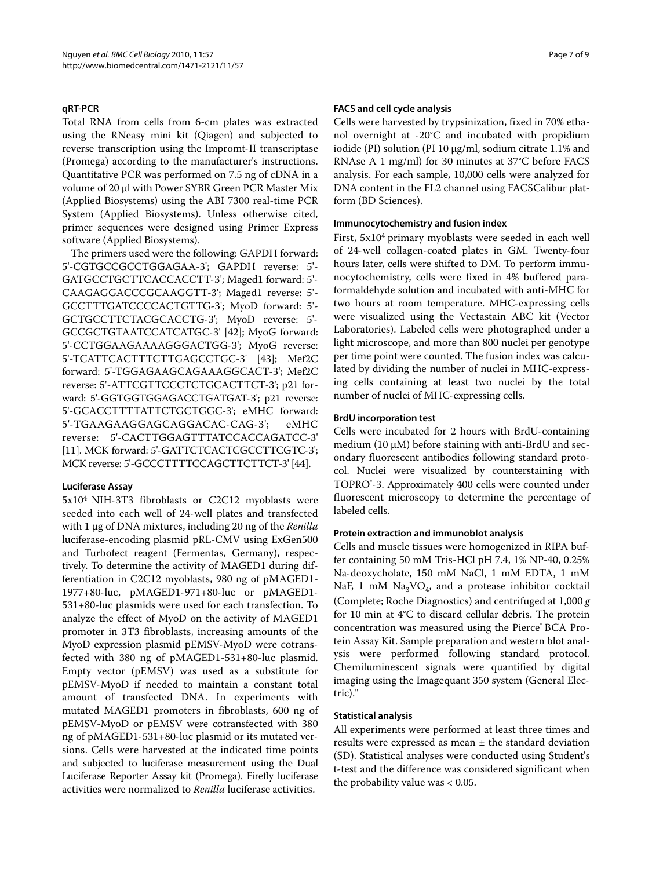## **qRT-PCR**

Total RNA from cells from 6-cm plates was extracted using the RNeasy mini kit (Qiagen) and subjected to reverse transcription using the Impromt-II transcriptase (Promega) according to the manufacturer's instructions. Quantitative PCR was performed on 7.5 ng of cDNA in a volume of 20 μl with Power SYBR Green PCR Master Mix (Applied Biosystems) using the ABI 7300 real-time PCR System (Applied Biosystems). Unless otherwise cited, primer sequences were designed using Primer Express software (Applied Biosystems).

The primers used were the following: GAPDH forward: 5'-CGTGCCGCCTGGAGAA-3'; GAPDH reverse: 5'- GATGCCTGCTTCACCACCTT-3'; Maged1 forward: 5'- CAAGAGGACCCGCAAGGTT-3'; Maged1 reverse: 5'- GCCTTTGATCCCCACTGTTG-3'; MyoD forward: 5'- GCTGCCTTCTACGCACCTG-3'; MyoD reverse: 5'- GCCGCTGTAATCCATCATGC-3' [\[42\]](#page-8-7); MyoG forward: 5'-CCTGGAAGAAAAGGGACTGG-3'; MyoG reverse: 5'-TCATTCACTTTCTTGAGCCTGC-3' [[43\]](#page-8-8); Mef2C forward: 5'-TGGAGAAGCAGAAAGGCACT-3'; Mef2C reverse: 5'-ATTCGTTCCCTCTGCACTTCT-3'; p21 forward: 5'-GGTGGTGGAGACCTGATGAT-3'; p21 reverse: 5'-GCACCTTTTATTCTGCTGGC-3'; eMHC forward: 5'-TGAAGAAGGAGCAGGACAC-CAG-3'; eMHC reverse: 5'-CACTTGGAGTTTATCCACCAGATCC-3' [[11](#page-7-8)]. MCK forward: 5'-GATTCTCACTCGCCTTCGTC-3'; MCK reverse: 5'-GCCCTTTTCCAGCTTCTTCT-3' [\[44\]](#page-8-9).

#### **Luciferase Assay**

5x104 NIH-3T3 fibroblasts or C2C12 myoblasts were seeded into each well of 24-well plates and transfected with 1 μg of DNA mixtures, including 20 ng of the *Renilla* luciferase-encoding plasmid pRL-CMV using ExGen500 and Turbofect reagent (Fermentas, Germany), respectively. To determine the activity of MAGED1 during differentiation in C2C12 myoblasts, 980 ng of pMAGED1- 1977+80-luc, pMAGED1-971+80-luc or pMAGED1- 531+80-luc plasmids were used for each transfection. To analyze the effect of MyoD on the activity of MAGED1 promoter in 3T3 fibroblasts, increasing amounts of the MyoD expression plasmid pEMSV-MyoD were cotransfected with 380 ng of pMAGED1-531+80-luc plasmid. Empty vector (pEMSV) was used as a substitute for pEMSV-MyoD if needed to maintain a constant total amount of transfected DNA. In experiments with mutated MAGED1 promoters in fibroblasts, 600 ng of pEMSV-MyoD or pEMSV were cotransfected with 380 ng of pMAGED1-531+80-luc plasmid or its mutated versions. Cells were harvested at the indicated time points and subjected to luciferase measurement using the Dual Luciferase Reporter Assay kit (Promega). Firefly luciferase activities were normalized to *Renilla* luciferase activities.

#### **FACS and cell cycle analysis**

Cells were harvested by trypsinization, fixed in 70% ethanol overnight at -20°C and incubated with propidium iodide (PI) solution (PI 10 μg/ml, sodium citrate 1.1% and RNAse A 1 mg/ml) for 30 minutes at 37°C before FACS analysis. For each sample, 10,000 cells were analyzed for DNA content in the FL2 channel using FACSCalibur platform (BD Sciences).

#### **Immunocytochemistry and fusion index**

First, 5x104 primary myoblasts were seeded in each well of 24-well collagen-coated plates in GM. Twenty-four hours later, cells were shifted to DM. To perform immunocytochemistry, cells were fixed in 4% buffered paraformaldehyde solution and incubated with anti-MHC for two hours at room temperature. MHC-expressing cells were visualized using the Vectastain ABC kit (Vector Laboratories). Labeled cells were photographed under a light microscope, and more than 800 nuclei per genotype per time point were counted. The fusion index was calculated by dividing the number of nuclei in MHC-expressing cells containing at least two nuclei by the total number of nuclei of MHC-expressing cells.

## **BrdU incorporation test**

Cells were incubated for 2 hours with BrdU-containing medium (10  $\mu$ M) before staining with anti-BrdU and secondary fluorescent antibodies following standard protocol. Nuclei were visualized by counterstaining with TOPRO® -3. Approximately 400 cells were counted under fluorescent microscopy to determine the percentage of labeled cells.

#### **Protein extraction and immunoblot analysis**

Cells and muscle tissues were homogenized in RIPA buffer containing 50 mM Tris-HCl pH 7.4, 1% NP-40, 0.25% Na-deoxycholate, 150 mM NaCl, 1 mM EDTA, 1 mM NaF, 1 mM  $\text{Na}_3\text{VO}_4$ , and a protease inhibitor cocktail (Complete; Roche Diagnostics) and centrifuged at 1,000 *g* for 10 min at 4°C to discard cellular debris. The protein concentration was measured using the Pierce® BCA Protein Assay Kit. Sample preparation and western blot analysis were performed following standard protocol. Chemiluminescent signals were quantified by digital imaging using the Imagequant 350 system (General Electric)."

#### **Statistical analysis**

All experiments were performed at least three times and results were expressed as mean ± the standard deviation (SD). Statistical analyses were conducted using Student's t-test and the difference was considered significant when the probability value was < 0.05.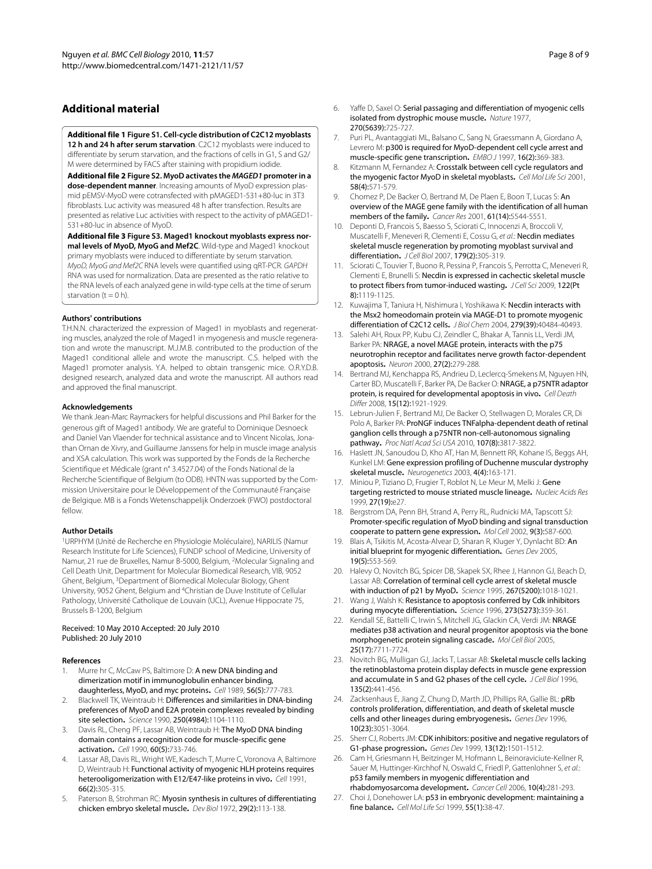## **Additional material**

<span id="page-7-13"></span>**[Additional file 1](http://www.biomedcentral.com/content/supplementary/1471-2121-11-57-S1.JPEG) Figure S1. Cell-cycle distribution of C2C12 myoblasts 12 h and 24 h after serum starvation**. C2C12 myoblasts were induced to differentiate by serum starvation, and the fractions of cells in G1, S and G2/ M were determined by FACS after staining with propidium iodide.

<span id="page-7-17"></span>**[Additional file 2](http://www.biomedcentral.com/content/supplementary/1471-2121-11-57-S2.JPEG) Figure S2. MyoD activates the MAGED1 promoter in a dose-dependent manner**. Increasing amounts of MyoD expression plasmid pEMSV-MyoD were cotransfected with pMAGED1-531+80-luc in 3T3 fibroblasts. Luc activity was measured 48 h after transfection. Results are presented as relative Luc activities with respect to the activity of pMAGED1- 531+80-luc in absence of MyoD.

<span id="page-7-19"></span>**[Additional file 3](http://www.biomedcentral.com/content/supplementary/1471-2121-11-57-S3.JPEG) Figure S3. Maged1 knockout myoblasts express normal levels of MyoD, MyoG and Mef2C**. Wild-type and Maged1 knockout primary myoblasts were induced to differentiate by serum starvation. MyoD, MyoG and Mef2C RNA levels were quantified using qRT-PCR. GAPDH RNA was used for normalization. Data are presented as the ratio relative to the RNA levels of each analyzed gene in wild-type cells at the time of serum starvation ( $t = 0$  h).

#### **Authors' contributions**

T.H.N.N. characterized the expression of Maged1 in myoblasts and regenerating muscles, analyzed the role of Maged1 in myogenesis and muscle regeneration and wrote the manuscript. M.J.M.B. contributed to the production of the Maged1 conditional allele and wrote the manuscript. C.S. helped with the Maged1 promoter analysis. Y.A. helped to obtain transgenic mice. O.R.Y.D.B. designed research, analyzed data and wrote the manuscript. All authors read and approved the final manuscript.

#### **Acknowledgements**

We thank Jean-Marc Raymackers for helpful discussions and Phil Barker for the generous gift of Maged1 antibody. We are grateful to Dominique Desnoeck and Daniel Van Vlaender for technical assistance and to Vincent Nicolas, Jonathan Ornan de Xivry, and Guillaume Janssens for help in muscle image analysis and XSA calculation. This work was supported by the Fonds de la Recherche Scientifique et Médicale (grant n° 3.4527.04) of the Fonds National de la Recherche Scientifique of Belgium (to ODB). HNTN was supported by the Commission Universitaire pour le Développement of the Communauté Française de Belgique. MB is a Fonds Wetenschappelijk Onderzoek (FWO) postdoctoral fellow.

#### **Author Details**

1URPHYM (Unité de Recherche en Physiologie Moléculaire), NARILIS (Namur Research Institute for Life Sciences), FUNDP school of Medicine, University of Namur, 21 rue de Bruxelles, Namur B-5000, Belgium, 2Molecular Signaling and Cell Death Unit, Department for Molecular Biomedical Research, VIB, 9052 Ghent, Belgium, 3Department of Biomedical Molecular Biology, Ghent University, 9052 Ghent, Belgium and 4Christian de Duve Institute of Cellular Pathology, Université Catholique de Louvain (UCL), Avenue Hippocrate 75, Brussels B-1200, Belgium

#### Received: 10 May 2010 Accepted: 20 July 2010 Published: 20 July 2010

#### **References**

- <span id="page-7-0"></span>Murre hr C, McCaw PS, Baltimore D: A new DNA binding and dimerization motif in immunoglobulin enhancer binding, daughterless, MyoD, and myc proteins**.** Cell 1989, 56(5):777-783.
- 2. Blackwell TK, Weintraub H: Differences and similarities in DNA-binding preferences of MyoD and E2A protein complexes revealed by binding site selection**[.](http://www.ncbi.nlm.nih.gov/entrez/query.fcgi?cmd=Retrieve&db=PubMed&dopt=Abstract&list_uids=2174572)** Science 1990, 250(4984):1104-1110.
- 3. Davis RL, Cheng PF, Lassar AB, Weintraub H: The MyoD DNA binding domain contains a recognition code for muscle-specific gene activation**.** Cell 1990, 60(5):733-746.
- <span id="page-7-1"></span>4. Lassar AB, Davis RL, Wright WE, Kadesch T, Murre C, Voronova A, Baltimore D, Weintraub H: Functional activity of myogenic HLH proteins requires heterooligomerization with E12/E47-like proteins in vivo**.** Cell 1991, 66(2):305-315.
- <span id="page-7-2"></span>5. Paterson B, Strohman RC: Myosin synthesis in cultures of differentiating chicken embryo skeletal muscle**.** Dev Biol 1972, 29(2):113-138.
- <span id="page-7-3"></span>6. Yaffe D, Saxel O: Serial passaging and differentiation of myogenic cells isolated from dystrophic mouse muscle**.** Nature 1977, 270(5639):725-727.
- <span id="page-7-4"></span>7. Puri PL, Avantaggiati ML, Balsano C, Sang N, Graessmann A, Giordano A, Levrero M: p300 is required for MyoD-dependent cell cycle arrest and muscle-specific gene transcription**.** EMBO J 1997, 16(2):369-383.
- <span id="page-7-5"></span>Kitzmann M, Fernandez A: Crosstalk between cell cycle regulators and the myogenic factor MyoD in skeletal myoblasts**.** Cell Mol Life Sci 2001, 58(4):571-579.
- <span id="page-7-6"></span>9. Chomez P, De Backer O, Bertrand M, De Plaen E, Boon T, Lucas S: An overview of the MAGE gene family with the identification of all human members of the family**.** Cancer Res 2001, 61(14):5544-5551.
- <span id="page-7-7"></span>Deponti D, Francois S, Baesso S, Sciorati C, Innocenzi A, Broccoli V, Muscatelli F, Meneveri R, Clementi E, Cossu G, et al.: Necdin mediates skeletal muscle regeneration by promoting myoblast survival and differentiation**.** J Cell Biol 2007, 179(2):305-319.
- <span id="page-7-8"></span>11. Sciorati C, Touvier T, Buono R, Pessina P, Francois S, Perrotta C, Meneveri R, Clementi E, Brunelli S: Necdin is expressed in cachectic skeletal muscle to protect fibers from tumor-induced wasting**.** J Cell Sci 2009, 122(Pt 8):1119-1125.
- <span id="page-7-9"></span>12. Kuwajima T, Taniura H, Nishimura I, Yoshikawa K: Necdin interacts with the Msx2 homeodomain protein via MAGE-D1 to promote myogenic differentiation of C2C12 cells**.** J Biol Chem 2004, 279(39):40484-40493.
- <span id="page-7-10"></span>13. Salehi AH, Roux PP, Kubu CJ, Zeindler C, Bhakar A, Tannis LL, Verdi JM, Barker PA: NRAGE, a novel MAGE protein, interacts with the p75 neurotrophin receptor and facilitates nerve growth factor-dependent apoptosis**.** Neuron 2000, 27(2):279-288.
- <span id="page-7-18"></span>14. Bertrand MJ, Kenchappa RS, Andrieu D, Leclercq-Smekens M, Nguyen HN, Carter BD, Muscatelli F, Barker PA, De Backer O: NRAGE, a p75NTR adaptor protein, is required for developmental apoptosis in vivo**.** Cell Death Differ 2008, 15(12):1921-1929.
- <span id="page-7-11"></span>15. Lebrun-Julien F, Bertrand MJ, De Backer O, Stellwagen D, Morales CR, Di Polo A, Barker PA: ProNGF induces TNFalpha-dependent death of retinal ganglion cells through a p75NTR non-cell-autonomous signaling pathway**.** Proc Natl Acad Sci USA 2010, 107(8):3817-3822.
- <span id="page-7-12"></span>16. Haslett JN, Sanoudou D, Kho AT, Han M, Bennett RR, Kohane IS, Beggs AH, Kunkel LM: Gene expression profiling of Duchenne muscular dystrophy skeletal muscle**.** Neurogenetics 2003, 4(4):163-171.
- <span id="page-7-14"></span>17. Miniou P, Tiziano D, Frugier T, Roblot N, Le Meur M, Melki J: Gene targeting restricted to mouse striated muscle lineage**.** Nucleic Acids Res 1999, 27(19):e27.
- <span id="page-7-15"></span>18. Bergstrom DA, Penn BH, Strand A, Perry RL, Rudnicki MA, Tapscott SJ: Promoter-specific regulation of MyoD binding and signal transduction cooperate to pattern gene expression**.** Mol Cell 2002, 9(3):587-600.
- <span id="page-7-16"></span>Blais A, Tsikitis M, Acosta-Alvear D, Sharan R, Kluger Y, Dynlacht BD: An initial blueprint for myogenic differentiation**.** Genes Dev 2005, 19(5):553-569.
- <span id="page-7-20"></span>20. Halevy O, Novitch BG, Spicer DB, Skapek SX, Rhee J, Hannon GJ, Beach D, Lassar AB: Correlation of terminal cell cycle arrest of skeletal muscle with induction of p21 by MyoD**[.](http://www.ncbi.nlm.nih.gov/entrez/query.fcgi?cmd=Retrieve&db=PubMed&dopt=Abstract&list_uids=7863327)** Science 1995, 267(5200):1018-1021.
- <span id="page-7-21"></span>21. Wang J, Walsh K: Resistance to apoptosis conferred by Cdk inhibitors during myocyte differentiation**[.](http://www.ncbi.nlm.nih.gov/entrez/query.fcgi?cmd=Retrieve&db=PubMed&dopt=Abstract&list_uids=8662523)** Science 1996, 273(5273):359-361.
- <span id="page-7-22"></span>22. Kendall SE, Battelli C, Irwin S, Mitchell JG, Glackin CA, Verdi JM: NRAGE mediates p38 activation and neural progenitor apoptosis via the bone morphogenetic protein signaling cascade**.** Mol Cell Biol 2005, 25(17):7711-7724.
- <span id="page-7-23"></span>23. Novitch BG, Mulligan GJ, Jacks T, Lassar AB: Skeletal muscle cells lacking the retinoblastoma protein display defects in muscle gene expression and accumulate in S and G2 phases of the cell cycle**.** J Cell Biol 1996, 135(2):441-456.
- <span id="page-7-24"></span>24. Zacksenhaus E, Jiang Z, Chung D, Marth JD, Phillips RA, Gallie BL: pRb controls proliferation, differentiation, and death of skeletal muscle cells and other lineages during embryogenesis**.** Genes Dev 1996, 10(23):3051-3064.
- <span id="page-7-25"></span>25. Sherr CJ, Roberts JM: CDK inhibitors: positive and negative regulators of G1-phase progression**.** Genes Dev 1999, 13(12):1501-1512.
- <span id="page-7-26"></span>26. Cam H, Griesmann H, Beitzinger M, Hofmann L, Beinoraviciute-Kellner R, Sauer M, Huttinger-Kirchhof N, Oswald C, Friedl P, Gattenlohner S, et al.: p53 family members in myogenic differentiation and rhabdomyosarcoma development**.** Cancer Cell 2006, 10(4):281-293.
- <span id="page-7-27"></span>27. Choi J, Donehower LA: p53 in embryonic development: maintaining a fine balance**.** Cell Mol Life Sci 1999, 55(1):38-47.